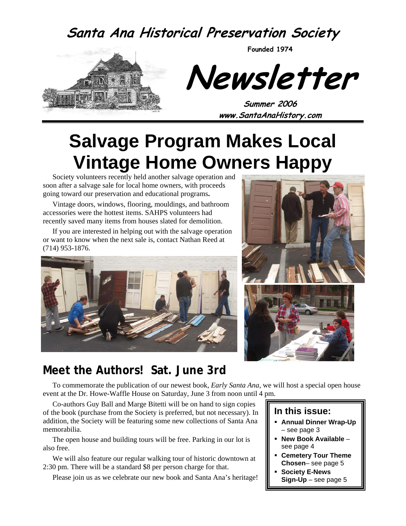# **Santa Ana Historical Preservation Society**

**Founded 1974** 



**Newsletter** 

**Summer 2006 www.SantaAnaHistory.com** 

# **Salvage Program Makes Local Vintage Home Owners Happy**

Society volunteers recently held another salvage operation and soon after a salvage sale for local home owners, with proceeds going toward our preservation and educational programs**.** 

Vintage doors, windows, flooring, mouldings, and bathroom accessories were the hottest items. SAHPS volunteers had recently saved many items from houses slated for demolition.

If you are interested in helping out with the salvage operation or want to know when the next sale is, contact Nathan Reed at (714) 953-1876.







### **Meet the Authors! Sat. June 3rd**

To commemorate the publication of our newest book, *Early Santa Ana*, we will host a special open house event at the Dr. Howe-Waffle House on Saturday, June 3 from noon until 4 pm.

Co-authors Guy Ball and Marge Bitetti will be on hand to sign copies of the book (purchase from the Society is preferred, but not necessary). In addition, the Society will be featuring some new collections of Santa Ana memorabilia.

The open house and building tours will be free. Parking in our lot is also free.

We will also feature our regular walking tour of historic downtown at 2:30 pm. There will be a standard \$8 per person charge for that.

Please join us as we celebrate our new book and Santa Ana's heritage!

#### **In this issue:**

- **Annual Dinner Wrap-Up** – see page 3
- **New Book Available**  see page 4
- **Cemetery Tour Theme Chosen**– see page 5
- **Society E-News Sign-Up** – see page 5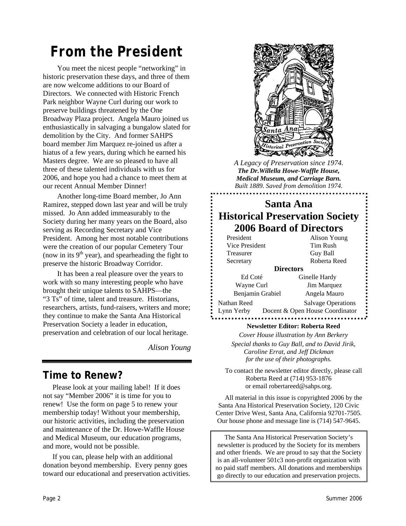# *From the President*

You meet the nicest people "networking" in historic preservation these days, and three of them are now welcome additions to our Board of Directors. We connected with Historic French Park neighbor Wayne Curl during our work to preserve buildings threatened by the One Broadway Plaza project. Angela Mauro joined us enthusiastically in salvaging a bungalow slated for demolition by the City. And former SAHPS board member Jim Marquez re-joined us after a hiatus of a few years, during which he earned his Masters degree. We are so pleased to have all three of these talented individuals with us for 2006, and hope you had a chance to meet them at our recent Annual Member Dinner!

Another long-time Board member, Jo Ann Ramirez, stepped down last year and will be truly missed. Jo Ann added immeasurably to the Society during her many years on the Board, also serving as Recording Secretary and Vice President. Among her most notable contributions were the creation of our popular Cemetery Tour (now in its  $9<sup>th</sup>$  year), and spearheading the fight to preserve the historic Broadway Corridor.

It has been a real pleasure over the years to work with so many interesting people who have brought their unique talents to SAHPS—the "3 Ts" of time, talent and treasure. Historians, researchers, artists, fund-raisers, writers and more; they continue to make the Santa Ana Historical Preservation Society a leader in education, preservation and celebration of our local heritage.

*Alison Young* 

### **Time to Renew?**

Please look at your mailing label! If it does not say "Member 2006" it is time for you to renew! Use the form on page 5 to renew your membership today! Without your membership, our historic activities, including the preservation and maintenance of the Dr. Howe-Waffle House and Medical Museum, our education programs, and more, would not be possible.

If you can, please help with an additional donation beyond membership. Every penny goes toward our educational and preservation activities.



*A Legacy of Preservation since 1974. The Dr.Willella Howe-Waffle House, Medical Museum, and Carriage Barn. Built 1889. Saved from demolition 1974.* 

### **Santa Ana Historical Preservation Society 2006 Board of Directors**

| President                 | Alison Young                                                 |  |
|---------------------------|--------------------------------------------------------------|--|
| Vice President            | Tim Rush                                                     |  |
| Treasurer                 | Guy Ball                                                     |  |
| Secretary                 | Roberta Reed                                                 |  |
|                           | <b>Directors</b>                                             |  |
| Ed Coté                   | Ginelle Hardy                                                |  |
| Wayne Curl                | Jim Marquez                                                  |  |
| Benjamin Grabiel          | Angela Mauro                                                 |  |
| Nathan Reed<br>Lynn Yerby | <b>Salvage Operations</b><br>Docent & Open House Coordinator |  |

#### **Newsletter Editor: Roberta Reed**

*Cover House illustration by Ann Berkery Special thanks to Guy Ball, and to David Jirik, Caroline Errat, and Jeff Dickman for the use of their photographs.* 

To contact the newsletter editor directly, please call Roberta Reed at (714) 953-1876 or email robertareed@sahps.org.

All material in this issue is copyrighted 2006 by the Santa Ana Historical Preservation Society, 120 Civic Center Drive West, Santa Ana, California 92701-7505. Our house phone and message line is (714) 547-9645.

The Santa Ana Historical Preservation Society's newsletter is produced by the Society for its members and other friends. We are proud to say that the Society is an all-volunteer 501c3 non-profit organization with no paid staff members. All donations and memberships go directly to our education and preservation projects.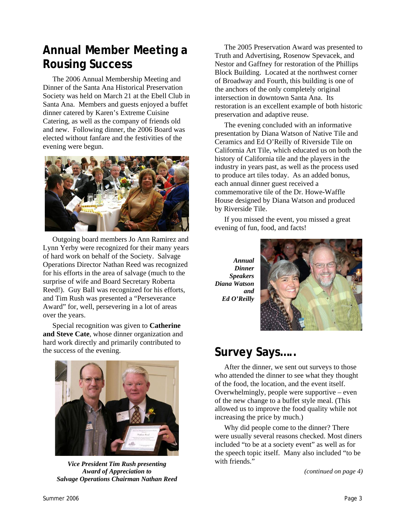# **Annual Member Meeting a Rousing Success**

The 2006 Annual Membership Meeting and Dinner of the Santa Ana Historical Preservation Society was held on March 21 at the Ebell Club in Santa Ana. Members and guests enjoyed a buffet dinner catered by Karen's Extreme Cuisine Catering, as well as the company of friends old and new. Following dinner, the 2006 Board was elected without fanfare and the festivities of the evening were begun.



Outgoing board members Jo Ann Ramirez and Lynn Yerby were recognized for their many years of hard work on behalf of the Society. Salvage Operations Director Nathan Reed was recognized for his efforts in the area of salvage (much to the surprise of wife and Board Secretary Roberta Reed!). Guy Ball was recognized for his efforts, and Tim Rush was presented a "Perseverance Award" for, well, persevering in a lot of areas over the years.

Special recognition was given to **Catherine and Steve Cate**, whose dinner organization and hard work directly and primarily contributed to the success of the evening.



*Vice President Tim Rush presenting Award of Appreciation to Salvage Operations Chairman Nathan Reed* 

The 2005 Preservation Award was presented to Truth and Advertising, Rosenow Spevacek, and Nestor and Gaffney for restoration of the Phillips Block Building. Located at the northwest corner of Broadway and Fourth, this building is one of the anchors of the only completely original intersection in downtown Santa Ana. Its restoration is an excellent example of both historic preservation and adaptive reuse.

The evening concluded with an informative presentation by Diana Watson of Native Tile and Ceramics and Ed O'Reilly of Riverside Tile on California Art Tile, which educated us on both the history of California tile and the players in the industry in years past, as well as the process used to produce art tiles today. As an added bonus, each annual dinner guest received a commemorative tile of the Dr. Howe-Waffle House designed by Diana Watson and produced by Riverside Tile.

If you missed the event, you missed a great evening of fun, food, and facts!

*Annual Dinner Speakers Diana Watson and Ed O'Reilly* 



### **Survey Says…..**

After the dinner, we sent out surveys to those who attended the dinner to see what they thought of the food, the location, and the event itself. Overwhelmingly, people were supportive – even of the new change to a buffet style meal. (This allowed us to improve the food quality while not increasing the price by much.)

Why did people come to the dinner? There were usually several reasons checked. Most diners included "to be at a society event" as well as for the speech topic itself. Many also included "to be with friends."

*(continued on page 4)*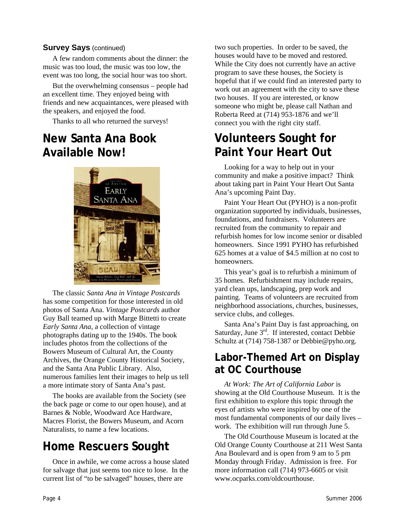#### **Survey Says** (continued)

A few random comments about the dinner: the music was too loud, the music was too low, the event was too long, the social hour was too short.

But the overwhelming consensus – people had an excellent time. They enjoyed being with friends and new acquaintances, were pleased with the speakers, and enjoyed the food.

Thanks to all who returned the surveys!

### **New Santa Ana Book Available Now!**



The classic *Santa Ana in Vintage Postcards* has some competition for those interested in old photos of Santa Ana. *Vintage Postcards* author Guy Ball teamed up with Marge Bittetti to create *Early Santa Ana*, a collection of vintage photographs dating up to the 1940s. The book includes photos from the collections of the Bowers Museum of Cultural Art, the County Archives, the Orange County Historical Society, and the Santa Ana Public Library. Also, numerous families lent their images to help us tell a more intimate story of Santa Ana's past.

The books are available from the Society (see the back page or come to our open house), and at Barnes & Noble, Woodward Ace Hardware, Macres Florist, the Bowers Museum, and Acorn Naturalists, to name a few locations.

# **Home Rescuers Sought**

Once in awhile, we come across a house slated for salvage that just seems too nice to lose. In the current list of "to be salvaged" houses, there are

two such properties. In order to be saved, the houses would have to be moved and restored. While the City does not currently have an active program to save these houses, the Society is hopeful that if we could find an interested party to work out an agreement with the city to save these two houses. If you are interested, or know someone who might be, please call Nathan and Roberta Reed at (714) 953-1876 and we'll connect you with the right city staff.

### **Volunteers Sought for Paint Your Heart Out**

Looking for a way to help out in your community and make a positive impact? Think about taking part in Paint Your Heart Out Santa Ana's upcoming Paint Day.

Paint Your Heart Out (PYHO) is a non-profit organization supported by individuals, businesses, foundations, and fundraisers. Volunteers are recruited from the community to repair and refurbish homes for low income senior or disabled homeowners. Since 1991 PYHO has refurbished 625 homes at a value of \$4.5 million at no cost to homeowners.

This year's goal is to refurbish a minimum of 35 homes. Refurbishment may include repairs, yard clean ups, landscaping, prep work and painting. Teams of volunteers are recruited from neighborhood associations, churches, businesses, service clubs, and colleges.

Santa Ana's Paint Day is fast approaching, on Saturday, June 3<sup>rd</sup>. If interested, contact Debbie Schultz at (714) 758-1387 or Debbie@pyho.org.

### **Labor-Themed Art on Display at OC Courthouse**

*At Work: The Art of California Labor* is showing at the Old Courthouse Museum. It is the first exhibition to explore this topic through the eyes of artists who were inspired by one of the most fundamental components of our daily lives – work. The exhibition will run through June 5.

The Old Courthouse Museum is located at the Old Orange County Courthouse at 211 West Santa Ana Boulevard and is open from 9 am to 5 pm Monday through Friday. Admission is free. For more information call (714) 973-6605 or visit www.ocparks.com/oldcourthouse.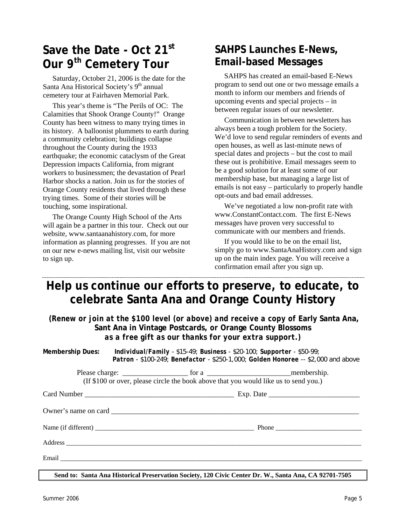# **Save the Date - Oct 21st Our 9th Cemetery Tour**

Saturday, October 21, 2006 is the date for the Santa Ana Historical Society's  $9<sup>th</sup>$  annual cemetery tour at Fairhaven Memorial Park.

This year's theme is "The Perils of OC: The Calamities that Shook Orange County!" Orange County has been witness to many trying times in its history. A balloonist plummets to earth during a community celebration; buildings collapse throughout the County during the 1933 earthquake; the economic cataclysm of the Great Depression impacts California, from migrant workers to businessmen; the devastation of Pearl Harbor shocks a nation. Join us for the stories of Orange County residents that lived through these trying times. Some of their stories will be touching, some inspirational.

The Orange County High School of the Arts will again be a partner in this tour. Check out our website, www.santaanahistory.com, for more information as planning progresses. If you are not on our new e-news mailing list, visit our website to sign up.

### **SAHPS Launches E-News, Email-based Messages**

SAHPS has created an email-based E-News program to send out one or two message emails a month to inform our members and friends of upcoming events and special projects – in between regular issues of our newsletter.

Communication in between newsletters has always been a tough problem for the Society. We'd love to send regular reminders of events and open houses, as well as last-minute news of special dates and projects – but the cost to mail these out is prohibitive. Email messages seem to be a good solution for at least some of our membership base, but managing a large list of emails is not easy – particularly to properly handle opt-outs and bad email addresses.

We've negotiated a low non-profit rate with www.ConstantContact.com. The first E-News messages have proven very successful to communicate with our members and friends.

If you would like to be on the email list, simply go to www.SantaAnaHistory.com and sign up on the main index page. You will receive a confirmation email after you sign up.

### **Help us continue our efforts to preserve, to educate, to celebrate Santa Ana and Orange County History**

*(Renew or join at the \$100 level (or above) and receive a copy of Early Santa Ana,* **Sant Ana in Vintage Postcards,** *or* **Orange County Blossoms** *as a free gift as our thanks for your extra support.)* 

**Membership Dues:** *Individual/Family - \$15-49; Business - \$20-100; Supporter - \$50-99; Patron - \$100-249; Benefactor - \$250-1,000; Golden Honoree -- \$2,000 and above* 

> Please charge:  $\Box$  for a  $\Box$  membership. (If \$100 or over, please circle the book above that you would like us to send you.)

Card Number \_\_\_\_\_\_\_\_\_\_\_\_\_\_\_\_\_\_\_\_\_\_\_\_\_\_\_\_\_\_\_\_\_\_\_\_\_\_\_\_\_ Exp. Date \_\_\_\_\_\_\_\_\_\_\_\_\_\_\_\_\_\_\_\_\_\_\_\_\_

Owner's name on card

Name (if different) \_\_\_\_\_\_\_\_\_\_\_\_\_\_\_\_\_\_\_\_\_\_\_\_\_\_\_\_\_\_\_\_\_\_\_\_\_\_\_\_\_\_\_\_\_\_\_\_ Phone \_\_\_\_\_\_\_\_\_\_\_\_\_\_\_\_\_\_\_\_\_\_\_\_\_\_

Address **and a structure of the structure of the structure of the structure of the structure of the structure of the structure of the structure of the structure of the structure of the structure of the structure of the str** 

Email  $\blacksquare$ 

**Send to: Santa Ana Historical Preservation Society, 120 Civic Center Dr. W., Santa Ana, CA 92701-7505**